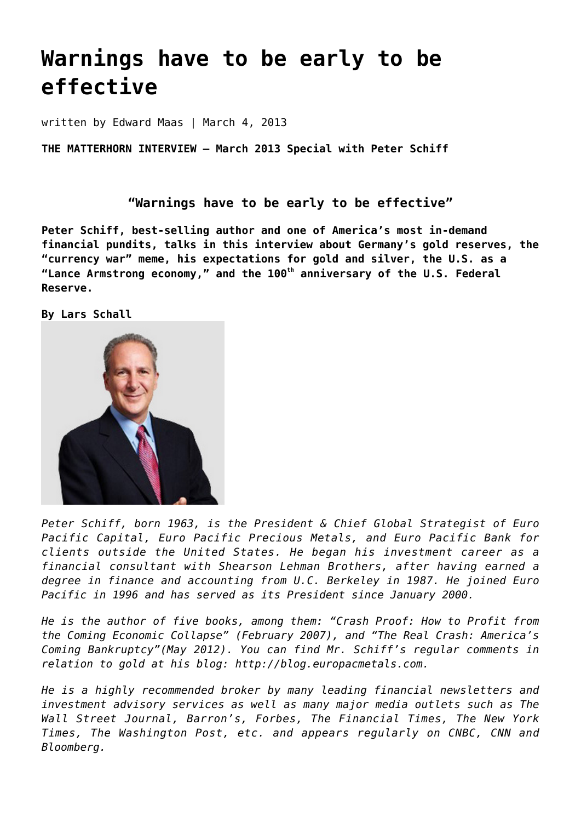# **[Warnings have to be early to be](https://goldswitzerland.com/warnings-have-to-be-early-to-be-effective/) [effective](https://goldswitzerland.com/warnings-have-to-be-early-to-be-effective/)**

written by Edward Maas | March 4, 2013

**THE MATTERHORN INTERVIEW – March 2013 Special with Peter Schiff**

**"Warnings have to be early to be effective"**

**Peter Schiff, best-selling author and one of America's most in-demand financial pundits, talks in this interview about Germany's gold reserves, the "currency war" meme, his expectations for gold and silver, the U.S. as a "Lance Armstrong economy," and the 100th anniversary of the U.S. Federal Reserve.**

**By Lars Schall**



*Peter Schiff, born 1963, is the President & Chief Global Strategist of Euro Pacific Capital, Euro Pacific Precious Metals, and Euro Pacific Bank for clients outside the United States. He began his investment career as a financial consultant with Shearson Lehman Brothers, after having earned a degree in finance and accounting from U.C. Berkeley in 1987. He joined Euro Pacific in 1996 and has served as its President since January 2000.*

*He is the author of five books, among them: "Crash Proof: How to Profit from the Coming Economic Collapse" (February 2007), and "The Real Crash: America's Coming Bankruptcy"(May 2012). You can find Mr. Schiff's regular comments in relation to gold at his blog: [http://blog.europacmetals.com](http://blog.europacmetals.com/).*

*He is a highly recommended broker by many leading financial newsletters and investment advisory services as well as many major media outlets such as The Wall Street Journal, Barron's, Forbes, The Financial Times, The New York Times, The Washington Post, etc. and appears regularly on CNBC, CNN and Bloomberg.*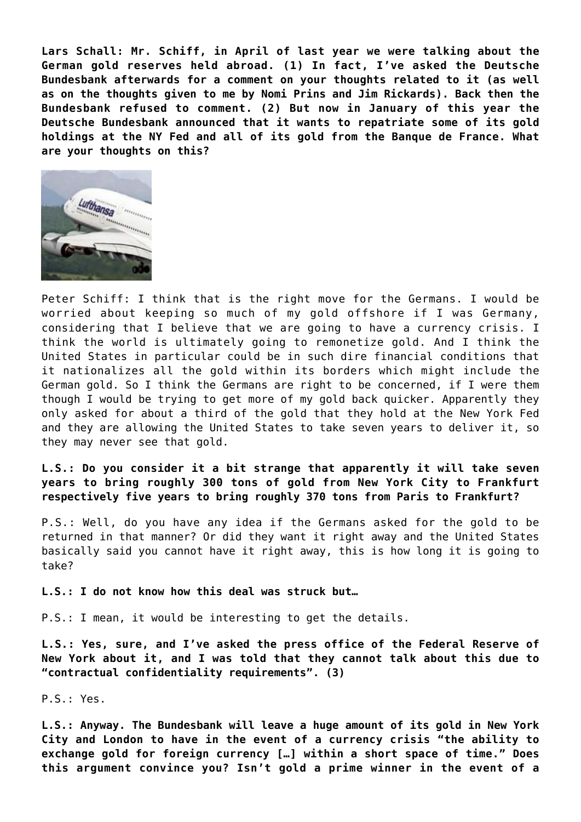**Lars Schall: Mr. Schiff, in April of last year we were talking about the German gold reserves held abroad. (1) In fact, I've asked the Deutsche Bundesbank afterwards for a comment on your thoughts related to it (as well as on the thoughts given to me by Nomi Prins and Jim Rickards). Back then the Bundesbank refused to comment. (2) But now in January of this year the Deutsche Bundesbank announced that it wants to repatriate some of its gold holdings at the NY Fed and all of its gold from the Banque de France. What are your thoughts on this?**



Peter Schiff: I think that is the right move for the Germans. I would be worried about keeping so much of my gold offshore if I was Germany, considering that I believe that we are going to have a currency crisis. I think the world is ultimately going to remonetize gold. And I think the United States in particular could be in such dire financial conditions that it nationalizes all the gold within its borders which might include the German gold. So I think the Germans are right to be concerned, if I were them though I would be trying to get more of my gold back quicker. Apparently they only asked for about a third of the gold that they hold at the New York Fed and they are allowing the United States to take seven years to deliver it, so they may never see that gold.

**L.S.: Do you consider it a bit strange that apparently it will take seven years to bring roughly 300 tons of gold from New York City to Frankfurt respectively five years to bring roughly 370 tons from Paris to Frankfurt?**

P.S.: Well, do you have any idea if the Germans asked for the gold to be returned in that manner? Or did they want it right away and the United States basically said you cannot have it right away, this is how long it is going to take?

## **L.S.: I do not know how this deal was struck but…**

P.S.: I mean, it would be interesting to get the details.

**L.S.: Yes, sure, and I've asked the press office of the Federal Reserve of New York about it, and I was told that they cannot talk about this due to "contractual confidentiality requirements". (3)**

P.S.: Yes.

**L.S.: Anyway. The Bundesbank will leave a huge amount of its gold in New York City and London to have in the event of a currency crisis "the ability to exchange gold for foreign currency […] within a short space of time." Does this argument convince you? Isn't gold a prime winner in the event of a**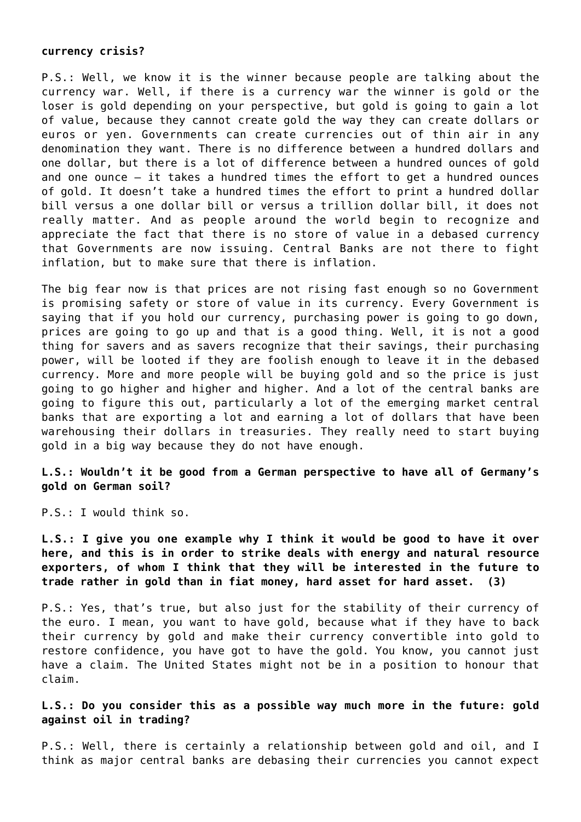# **currency crisis?**

P.S.: Well, we know it is the winner because people are talking about the currency war. Well, if there is a currency war the winner is gold or the loser is gold depending on your perspective, but gold is going to gain a lot of value, because they cannot create gold the way they can create dollars or euros or yen. Governments can create currencies out of thin air in any denomination they want. There is no difference between a hundred dollars and one dollar, but there is a lot of difference between a hundred ounces of gold and one ounce – it takes a hundred times the effort to get a hundred ounces of gold. It doesn't take a hundred times the effort to print a hundred dollar bill versus a one dollar bill or versus a trillion dollar bill, it does not really matter. And as people around the world begin to recognize and appreciate the fact that there is no store of value in a debased currency that Governments are now issuing. Central Banks are not there to fight inflation, but to make sure that there is inflation.

The big fear now is that prices are not rising fast enough so no Government is promising safety or store of value in its currency. Every Government is saying that if you hold our currency, purchasing power is going to go down, prices are going to go up and that is a good thing. Well, it is not a good thing for savers and as savers recognize that their savings, their purchasing power, will be looted if they are foolish enough to leave it in the debased currency. More and more people will be buying gold and so the price is just going to go higher and higher and higher. And a lot of the central banks are going to figure this out, particularly a lot of the emerging market central banks that are exporting a lot and earning a lot of dollars that have been warehousing their dollars in treasuries. They really need to start buying gold in a big way because they do not have enough.

**L.S.: Wouldn't it be good from a German perspective to have all of Germany's gold on German soil?**

P.S.: I would think so.

**L.S.: I give you one example why I think it would be good to have it over here, and this is in order to strike deals with energy and natural resource exporters, of whom I think that they will be interested in the future to trade rather in gold than in fiat money, hard asset for hard asset. (3)**

P.S.: Yes, that's true, but also just for the stability of their currency of the euro. I mean, you want to have gold, because what if they have to back their currency by gold and make their currency convertible into gold to restore confidence, you have got to have the gold. You know, you cannot just have a claim. The United States might not be in a position to honour that claim.

**L.S.: Do you consider this as a possible way much more in the future: gold against oil in trading?**

P.S.: Well, there is certainly a relationship between gold and oil, and I think as major central banks are debasing their currencies you cannot expect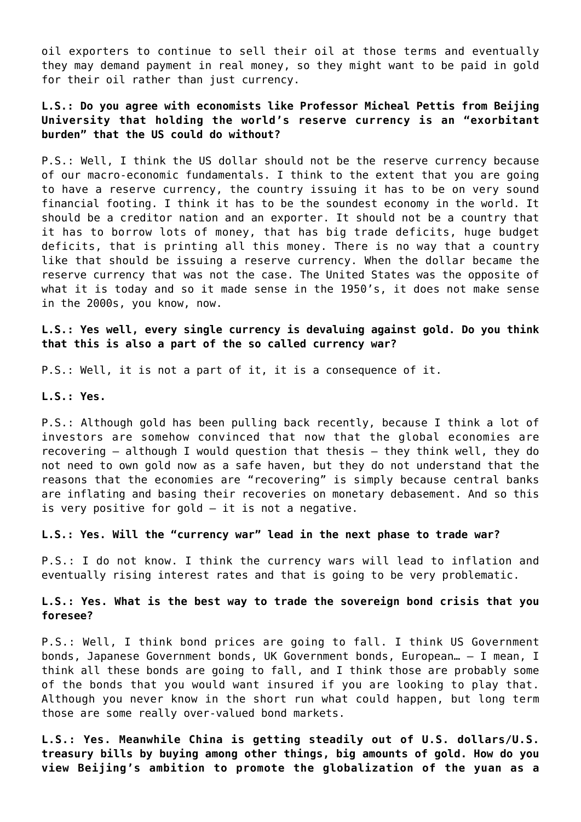oil exporters to continue to sell their oil at those terms and eventually they may demand payment in real money, so they might want to be paid in gold for their oil rather than just currency.

# **L.S.: Do you agree with economists like Professor Micheal Pettis from Beijing University that holding the world's reserve currency is an "exorbitant burden" that the US could do without?**

P.S.: Well, I think the US dollar should not be the reserve currency because of our macro-economic fundamentals. I think to the extent that you are going to have a reserve currency, the country issuing it has to be on very sound financial footing. I think it has to be the soundest economy in the world. It should be a creditor nation and an exporter. It should not be a country that it has to borrow lots of money, that has big trade deficits, huge budget deficits, that is printing all this money. There is no way that a country like that should be issuing a reserve currency. When the dollar became the reserve currency that was not the case. The United States was the opposite of what it is today and so it made sense in the 1950's, it does not make sense in the 2000s, you know, now.

**L.S.: Yes well, every single currency is devaluing against gold. Do you think that this is also a part of the so called currency war?**

P.S.: Well, it is not a part of it, it is a consequence of it.

**L.S.: Yes.**

P.S.: Although gold has been pulling back recently, because I think a lot of investors are somehow convinced that now that the global economies are recovering – although I would question that thesis – they think well, they do not need to own gold now as a safe haven, but they do not understand that the reasons that the economies are "recovering" is simply because central banks are inflating and basing their recoveries on monetary debasement. And so this is very positive for gold – it is not a negative.

**L.S.: Yes. Will the "currency war" lead in the next phase to trade war?**

P.S.: I do not know. I think the currency wars will lead to inflation and eventually rising interest rates and that is going to be very problematic.

**L.S.: Yes. What is the best way to trade the sovereign bond crisis that you foresee?**

P.S.: Well, I think bond prices are going to fall. I think US Government bonds, Japanese Government bonds, UK Government bonds, European… – I mean, I think all these bonds are going to fall, and I think those are probably some of the bonds that you would want insured if you are looking to play that. Although you never know in the short run what could happen, but long term those are some really over-valued bond markets.

**L.S.: Yes. Meanwhile China is getting steadily out of U.S. dollars/U.S. treasury bills by buying among other things, big amounts of gold. How do you view Beijing's ambition to promote the globalization of the yuan as a**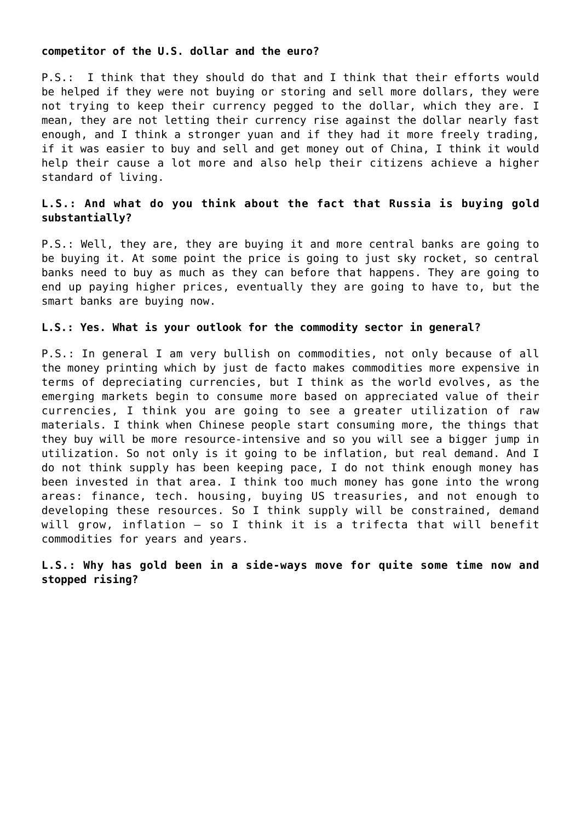## **competitor of the U.S. dollar and the euro?**

P.S.: I think that they should do that and I think that their efforts would be helped if they were not buying or storing and sell more dollars, they were not trying to keep their currency pegged to the dollar, which they are. I mean, they are not letting their currency rise against the dollar nearly fast enough, and I think a stronger yuan and if they had it more freely trading, if it was easier to buy and sell and get money out of China, I think it would help their cause a lot more and also help their citizens achieve a higher standard of living.

# **L.S.: And what do you think about the fact that Russia is buying gold substantially?**

P.S.: Well, they are, they are buying it and more central banks are going to be buying it. At some point the price is going to just sky rocket, so central banks need to buy as much as they can before that happens. They are going to end up paying higher prices, eventually they are going to have to, but the smart banks are buying now.

## **L.S.: Yes. What is your outlook for the commodity sector in general?**

P.S.: In general I am very bullish on commodities, not only because of all the money printing which by just de facto makes commodities more expensive in terms of depreciating currencies, but I think as the world evolves, as the emerging markets begin to consume more based on appreciated value of their currencies, I think you are going to see a greater utilization of raw materials. I think when Chinese people start consuming more, the things that they buy will be more resource-intensive and so you will see a bigger jump in utilization. So not only is it going to be inflation, but real demand. And I do not think supply has been keeping pace, I do not think enough money has been invested in that area. I think too much money has gone into the wrong areas: finance, tech. housing, buying US treasuries, and not enough to developing these resources. So I think supply will be constrained, demand will grow, inflation — so I think it is a trifecta that will benefit commodities for years and years.

**L.S.: Why has gold been in a side-ways move for quite some time now and stopped rising?**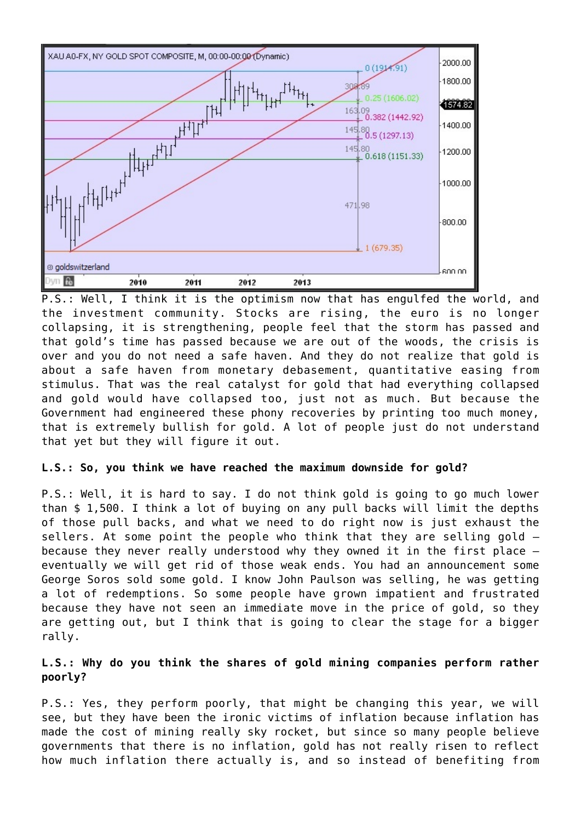

P.S.: Well, I think it is the optimism now that has engulfed the world, and the investment community. Stocks are rising, the euro is no longer collapsing, it is strengthening, people feel that the storm has passed and that gold's time has passed because we are out of the woods, the crisis is over and you do not need a safe haven. And they do not realize that gold is about a safe haven from monetary debasement, quantitative easing from stimulus. That was the real catalyst for gold that had everything collapsed and gold would have collapsed too, just not as much. But because the Government had engineered these phony recoveries by printing too much money, that is extremely bullish for gold. A lot of people just do not understand that yet but they will figure it out.

## **L.S.: So, you think we have reached the maximum downside for gold?**

P.S.: Well, it is hard to say. I do not think gold is going to go much lower than \$ 1,500. I think a lot of buying on any pull backs will limit the depths of those pull backs, and what we need to do right now is just exhaust the sellers. At some point the people who think that they are selling gold – because they never really understood why they owned it in the first place – eventually we will get rid of those weak ends. You had an announcement some George Soros sold some gold. I know John Paulson was selling, he was getting a lot of redemptions. So some people have grown impatient and frustrated because they have not seen an immediate move in the price of gold, so they are getting out, but I think that is going to clear the stage for a bigger rally.

# **L.S.: Why do you think the shares of gold mining companies perform rather poorly?**

P.S.: Yes, they perform poorly, that might be changing this year, we will see, but they have been the ironic victims of inflation because inflation has made the cost of mining really sky rocket, but since so many people believe governments that there is no inflation, gold has not really risen to reflect how much inflation there actually is, and so instead of benefiting from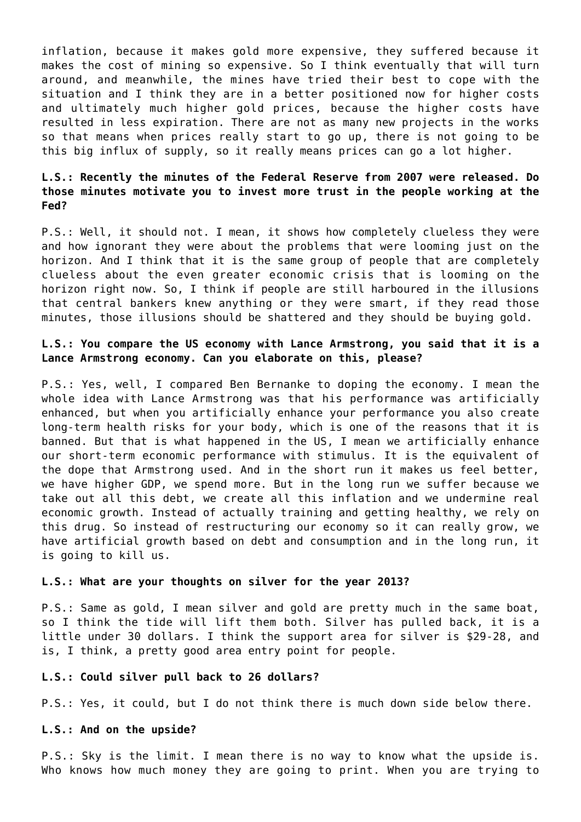inflation, because it makes gold more expensive, they suffered because it makes the cost of mining so expensive. So I think eventually that will turn around, and meanwhile, the mines have tried their best to cope with the situation and I think they are in a better positioned now for higher costs and ultimately much higher gold prices, because the higher costs have resulted in less expiration. There are not as many new projects in the works so that means when prices really start to go up, there is not going to be this big influx of supply, so it really means prices can go a lot higher.

# **L.S.: Recently the minutes of the Federal Reserve from 2007 were released. Do those minutes motivate you to invest more trust in the people working at the Fed?**

P.S.: Well, it should not. I mean, it shows how completely clueless they were and how ignorant they were about the problems that were looming just on the horizon. And I think that it is the same group of people that are completely clueless about the even greater economic crisis that is looming on the horizon right now. So, I think if people are still harboured in the illusions that central bankers knew anything or they were smart, if they read those minutes, those illusions should be shattered and they should be buying gold.

# **L.S.: You compare the US economy with Lance Armstrong, you said that it is a Lance Armstrong economy. Can you elaborate on this, please?**

P.S.: Yes, well, I compared Ben Bernanke to doping the economy. I mean the whole idea with Lance Armstrong was that his performance was artificially enhanced, but when you artificially enhance your performance you also create long-term health risks for your body, which is one of the reasons that it is banned. But that is what happened in the US, I mean we artificially enhance our short-term economic performance with stimulus. It is the equivalent of the dope that Armstrong used. And in the short run it makes us feel better, we have higher GDP, we spend more. But in the long run we suffer because we take out all this debt, we create all this inflation and we undermine real economic growth. Instead of actually training and getting healthy, we rely on this drug. So instead of restructuring our economy so it can really grow, we have artificial growth based on debt and consumption and in the long run, it is going to kill us.

## **L.S.: What are your thoughts on silver for the year 2013?**

P.S.: Same as gold, I mean silver and gold are pretty much in the same boat, so I think the tide will lift them both. Silver has pulled back, it is a little under 30 dollars. I think the support area for silver is \$29-28, and is, I think, a pretty good area entry point for people.

### **L.S.: Could silver pull back to 26 dollars?**

P.S.: Yes, it could, but I do not think there is much down side below there.

### **L.S.: And on the upside?**

P.S.: Sky is the limit. I mean there is no way to know what the upside is. Who knows how much money they are going to print. When you are trying to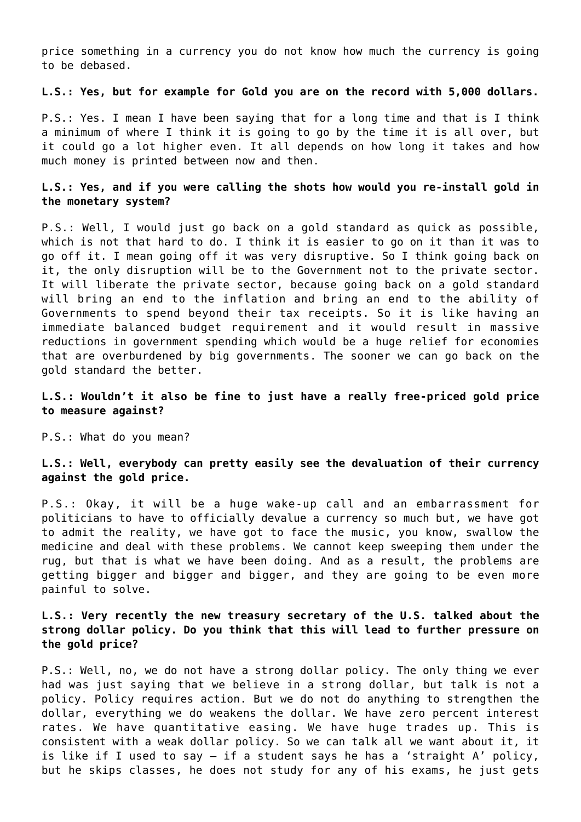price something in a currency you do not know how much the currency is going to be debased.

## **L.S.: Yes, but for example for Gold you are on the record with 5,000 dollars.**

P.S.: Yes. I mean I have been saying that for a long time and that is I think a minimum of where I think it is going to go by the time it is all over, but it could go a lot higher even. It all depends on how long it takes and how much money is printed between now and then.

# **L.S.: Yes, and if you were calling the shots how would you re-install gold in the monetary system?**

P.S.: Well, I would just go back on a gold standard as quick as possible, which is not that hard to do. I think it is easier to go on it than it was to go off it. I mean going off it was very disruptive. So I think going back on it, the only disruption will be to the Government not to the private sector. It will liberate the private sector, because going back on a gold standard will bring an end to the inflation and bring an end to the ability of Governments to spend beyond their tax receipts. So it is like having an immediate balanced budget requirement and it would result in massive reductions in government spending which would be a huge relief for economies that are overburdened by big governments. The sooner we can go back on the gold standard the better.

## **L.S.: Wouldn't it also be fine to just have a really free-priced gold price to measure against?**

P.S.: What do you mean?

# **L.S.: Well, everybody can pretty easily see the devaluation of their currency against the gold price.**

P.S.: Okay, it will be a huge wake-up call and an embarrassment for politicians to have to officially devalue a currency so much but, we have got to admit the reality, we have got to face the music, you know, swallow the medicine and deal with these problems. We cannot keep sweeping them under the rug, but that is what we have been doing. And as a result, the problems are getting bigger and bigger and bigger, and they are going to be even more painful to solve.

# **L.S.: Very recently the new treasury secretary of the U.S. talked about the strong dollar policy. Do you think that this will lead to further pressure on the gold price?**

P.S.: Well, no, we do not have a strong dollar policy. The only thing we ever had was just saying that we believe in a strong dollar, but talk is not a policy. Policy requires action. But we do not do anything to strengthen the dollar, everything we do weakens the dollar. We have zero percent interest rates. We have quantitative easing. We have huge trades up. This is consistent with a weak dollar policy. So we can talk all we want about it, it is like if I used to say – if a student says he has a 'straight A' policy, but he skips classes, he does not study for any of his exams, he just gets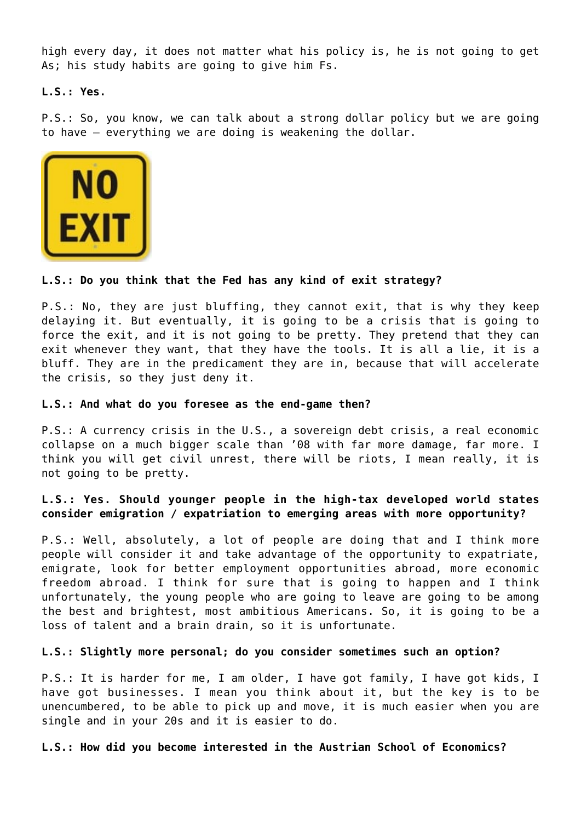high every day, it does not matter what his policy is, he is not going to get As; his study habits are going to give him Fs.

**L.S.: Yes.**

P.S.: So, you know, we can talk about a strong dollar policy but we are going to have – everything we are doing is weakening the dollar.



## **L.S.: Do you think that the Fed has any kind of exit strategy?**

P.S.: No, they are just bluffing, they cannot exit, that is why they keep delaying it. But eventually, it is going to be a crisis that is going to force the exit, and it is not going to be pretty. They pretend that they can exit whenever they want, that they have the tools. It is all a lie, it is a bluff. They are in the predicament they are in, because that will accelerate the crisis, so they just deny it.

## **L.S.: And what do you foresee as the end-game then?**

P.S.: A currency crisis in the U.S., a sovereign debt crisis, a real economic collapse on a much bigger scale than '08 with far more damage, far more. I think you will get civil unrest, there will be riots, I mean really, it is not going to be pretty.

# **L.S.: Yes. Should younger people in the high-tax developed world states consider emigration / expatriation to emerging areas with more opportunity?**

P.S.: Well, absolutely, a lot of people are doing that and I think more people will consider it and take advantage of the opportunity to expatriate, emigrate, look for better employment opportunities abroad, more economic freedom abroad. I think for sure that is going to happen and I think unfortunately, the young people who are going to leave are going to be among the best and brightest, most ambitious Americans. So, it is going to be a loss of talent and a brain drain, so it is unfortunate.

### **L.S.: Slightly more personal; do you consider sometimes such an option?**

P.S.: It is harder for me, I am older, I have got family, I have got kids, I have got businesses. I mean you think about it, but the key is to be unencumbered, to be able to pick up and move, it is much easier when you are single and in your 20s and it is easier to do.

**L.S.: How did you become interested in the Austrian School of Economics?**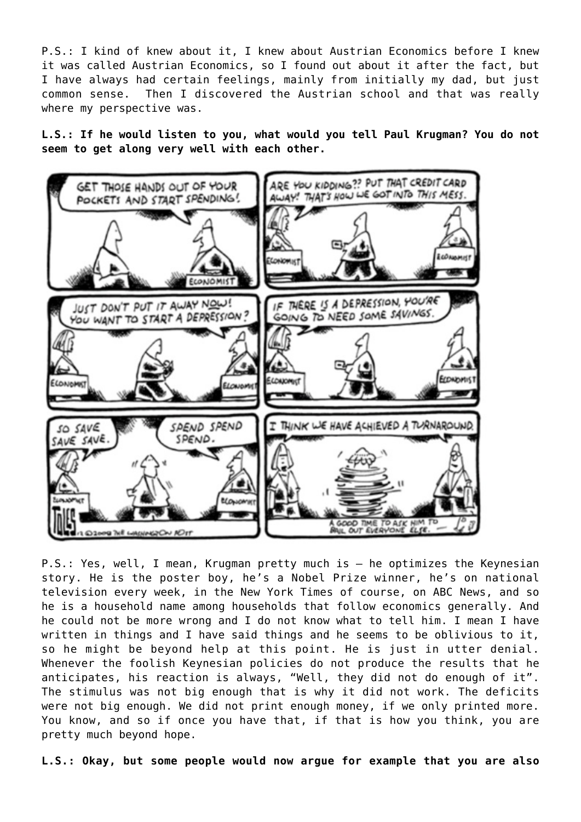P.S.: I kind of knew about it, I knew about Austrian Economics before I knew it was called Austrian Economics, so I found out about it after the fact, but I have always had certain feelings, mainly from initially my dad, but just common sense. Then I discovered the Austrian school and that was really where my perspective was.

**L.S.: If he would listen to you, what would you tell Paul Krugman? You do not seem to get along very well with each other.**



P.S.: Yes, well, I mean, Krugman pretty much is – he optimizes the Keynesian story. He is the poster boy, he's a Nobel Prize winner, he's on national television every week, in the New York Times of course, on ABC News, and so he is a household name among households that follow economics generally. And he could not be more wrong and I do not know what to tell him. I mean I have written in things and I have said things and he seems to be oblivious to it, so he might be beyond help at this point. He is just in utter denial. Whenever the foolish Keynesian policies do not produce the results that he anticipates, his reaction is always, "Well, they did not do enough of it". The stimulus was not big enough that is why it did not work. The deficits were not big enough. We did not print enough money, if we only printed more. You know, and so if once you have that, if that is how you think, you are pretty much beyond hope.

**L.S.: Okay, but some people would now argue for example that you are also**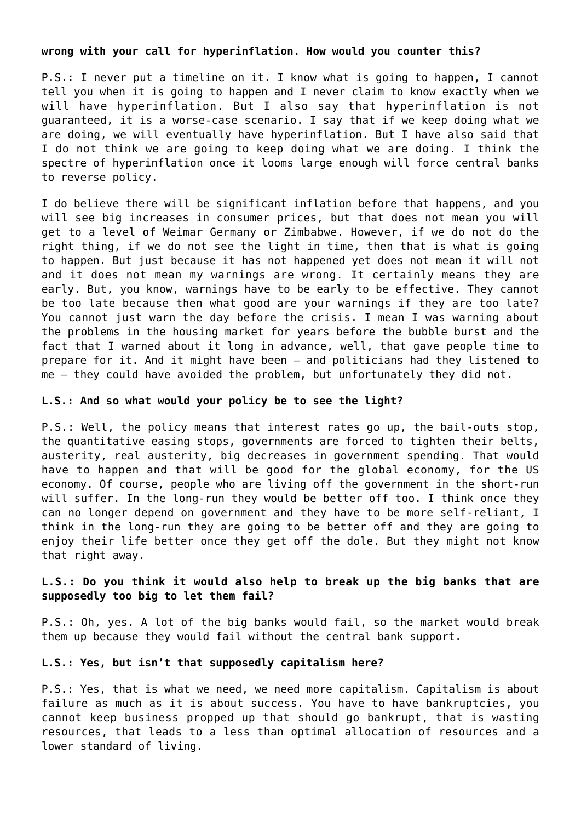### **wrong with your call for hyperinflation. How would you counter this?**

P.S.: I never put a timeline on it. I know what is going to happen, I cannot tell you when it is going to happen and I never claim to know exactly when we will have hyperinflation. But I also say that hyperinflation is not guaranteed, it is a worse-case scenario. I say that if we keep doing what we are doing, we will eventually have hyperinflation. But I have also said that I do not think we are going to keep doing what we are doing. I think the spectre of hyperinflation once it looms large enough will force central banks to reverse policy.

I do believe there will be significant inflation before that happens, and you will see big increases in consumer prices, but that does not mean you will get to a level of Weimar Germany or Zimbabwe. However, if we do not do the right thing, if we do not see the light in time, then that is what is going to happen. But just because it has not happened yet does not mean it will not and it does not mean my warnings are wrong. It certainly means they are early. But, you know, warnings have to be early to be effective. They cannot be too late because then what good are your warnings if they are too late? You cannot just warn the day before the crisis. I mean I was warning about the problems in the housing market for years before the bubble burst and the fact that I warned about it long in advance, well, that gave people time to prepare for it. And it might have been – and politicians had they listened to me – they could have avoided the problem, but unfortunately they did not.

## **L.S.: And so what would your policy be to see the light?**

P.S.: Well, the policy means that interest rates go up, the bail-outs stop, the quantitative easing stops, governments are forced to tighten their belts, austerity, real austerity, big decreases in government spending. That would have to happen and that will be good for the global economy, for the US economy. Of course, people who are living off the government in the short-run will suffer. In the long-run they would be better off too. I think once they can no longer depend on government and they have to be more self-reliant, I think in the long-run they are going to be better off and they are going to enjoy their life better once they get off the dole. But they might not know that right away.

# **L.S.: Do you think it would also help to break up the big banks that are supposedly too big to let them fail?**

P.S.: Oh, yes. A lot of the big banks would fail, so the market would break them up because they would fail without the central bank support.

#### **L.S.: Yes, but isn't that supposedly capitalism here?**

P.S.: Yes, that is what we need, we need more capitalism. Capitalism is about failure as much as it is about success. You have to have bankruptcies, you cannot keep business propped up that should go bankrupt, that is wasting resources, that leads to a less than optimal allocation of resources and a lower standard of living.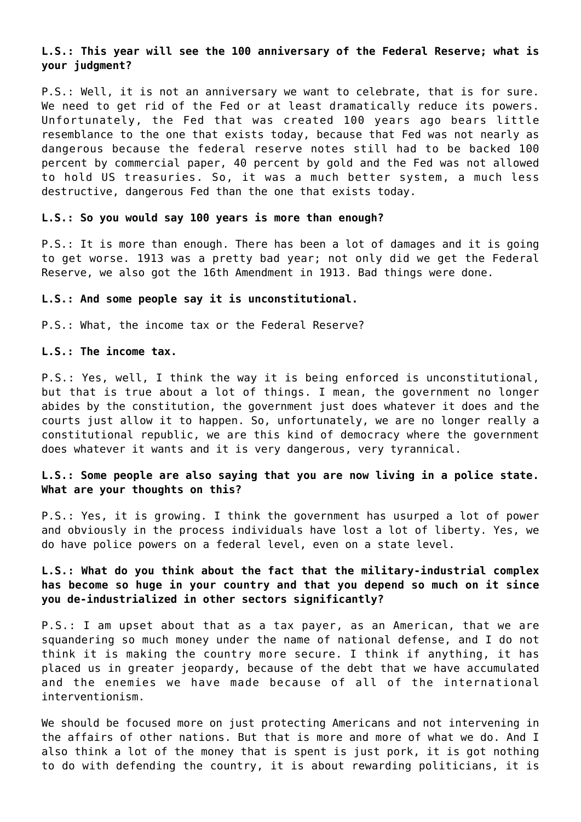# **L.S.: This year will see the 100 anniversary of the Federal Reserve; what is your judgment?**

P.S.: Well, it is not an anniversary we want to celebrate, that is for sure. We need to get rid of the Fed or at least dramatically reduce its powers. Unfortunately, the Fed that was created 100 years ago bears little resemblance to the one that exists today, because that Fed was not nearly as dangerous because the federal reserve notes still had to be backed 100 percent by commercial paper, 40 percent by gold and the Fed was not allowed to hold US treasuries. So, it was a much better system, a much less destructive, dangerous Fed than the one that exists today.

#### **L.S.: So you would say 100 years is more than enough?**

P.S.: It is more than enough. There has been a lot of damages and it is going to get worse. 1913 was a pretty bad year; not only did we get the Federal Reserve, we also got the 16th Amendment in 1913. Bad things were done.

#### **L.S.: And some people say it is unconstitutional.**

P.S.: What, the income tax or the Federal Reserve?

## **L.S.: The income tax.**

P.S.: Yes, well, I think the way it is being enforced is unconstitutional, but that is true about a lot of things. I mean, the government no longer abides by the constitution, the government just does whatever it does and the courts just allow it to happen. So, unfortunately, we are no longer really a constitutional republic, we are this kind of democracy where the government does whatever it wants and it is very dangerous, very tyrannical.

# **L.S.: Some people are also saying that you are now living in a police state. What are your thoughts on this?**

P.S.: Yes, it is growing. I think the government has usurped a lot of power and obviously in the process individuals have lost a lot of liberty. Yes, we do have police powers on a federal level, even on a state level.

# **L.S.: What do you think about the fact that the military-industrial complex has become so huge in your country and that you depend so much on it since you de-industrialized in other sectors significantly?**

P.S.: I am upset about that as a tax payer, as an American, that we are squandering so much money under the name of national defense, and I do not think it is making the country more secure. I think if anything, it has placed us in greater jeopardy, because of the debt that we have accumulated and the enemies we have made because of all of the international interventionism.

We should be focused more on just protecting Americans and not intervening in the affairs of other nations. But that is more and more of what we do. And I also think a lot of the money that is spent is just pork, it is got nothing to do with defending the country, it is about rewarding politicians, it is